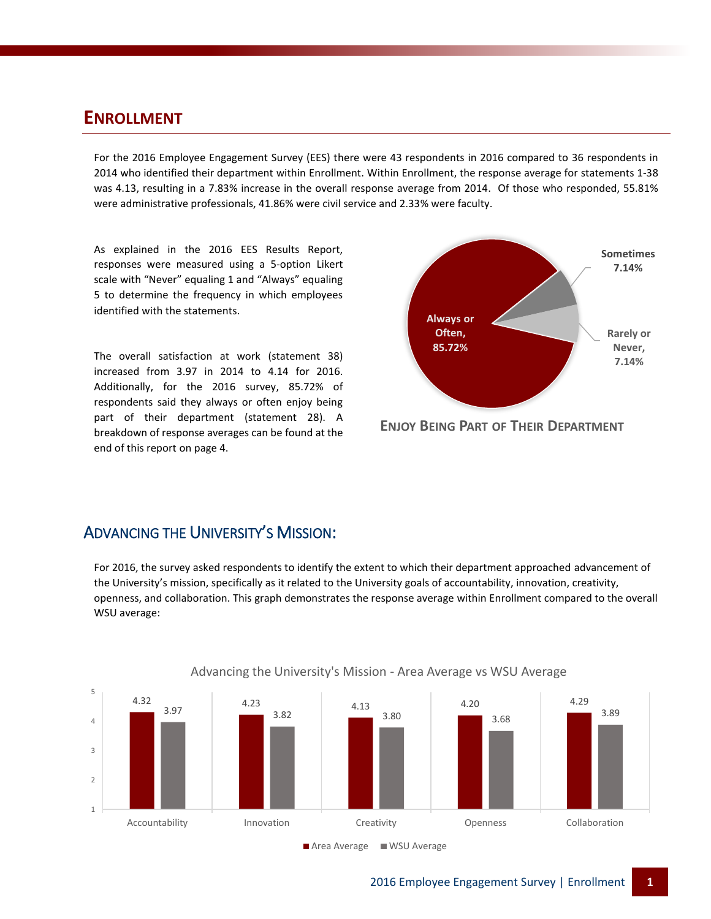#### **ENROLLMENT**

For the 2016 Employee Engagement Survey (EES) there were 43 respondents in 2016 compared to 36 respondents in 2014 who identified their department within Enrollment. Within Enrollment, the response average for statements 1-38 was 4.13, resulting in a 7.83% increase in the overall response average from 2014. Of those who responded, 55.81% were administrative professionals, 41.86% were civil service and 2.33% were faculty.

As explained in the 2016 EES Results Report, responses were measured using a 5-option Likert scale with "Never" equaling 1 and "Always" equaling 5 to determine the frequency in which employees identified with the statements.

The overall satisfaction at work (statement 38) increased from 3.97 in 2014 to 4.14 for 2016. Additionally, for the 2016 survey, 85.72% of respondents said they always or often enjoy being part of their department (statement 28). A breakdown of response averages can be found at the end of this report on page 4.



**ENJOY BEING PART OF THEIR DEPARTMENT**

#### ADVANCING THE UNIVERSITY'S MISSION:

For 2016, the survey asked respondents to identify the extent to which their department approached advancement of the University's mission, specifically as it related to the University goals of accountability, innovation, creativity, openness, and collaboration. This graph demonstrates the response average within Enrollment compared to the overall WSU average:



#### Advancing the University's Mission - Area Average vs WSU Average

■ Area Average ■ WSU Average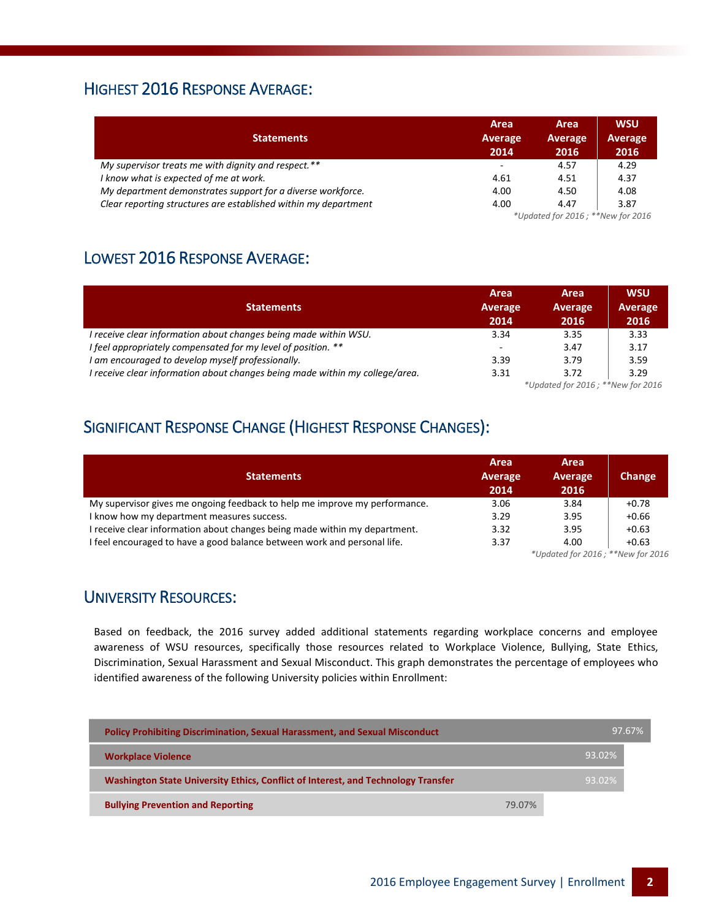# HIGHEST 2016 RESPONSE AVERAGE:

| <b>Statements</b>                                               | Area<br>Average<br>2014  | Area<br>Average<br>2016           | <b>WSU</b><br><b>Average</b><br>2016 |  |
|-----------------------------------------------------------------|--------------------------|-----------------------------------|--------------------------------------|--|
| My supervisor treats me with dignity and respect.**             | $\overline{\phantom{a}}$ | 4.57                              | 4.29                                 |  |
| I know what is expected of me at work.                          | 4.61                     | 4.51                              | 4.37                                 |  |
| My department demonstrates support for a diverse workforce.     | 4.00                     | 4.50                              | 4.08                                 |  |
| Clear reporting structures are established within my department | 4.00                     | 4.47                              | 3.87                                 |  |
|                                                                 |                          | *Updated for 2016; **New for 2016 |                                      |  |

## LOWEST 2016 RESPONSE AVERAGE:

| <b>Statements</b>                                                            | Area<br>Average<br>2014 | Area<br>Average<br>2016                    | <b>WSU</b><br>Average<br>2016 |
|------------------------------------------------------------------------------|-------------------------|--------------------------------------------|-------------------------------|
| I receive clear information about changes being made within WSU.             | 3.34                    | 3.35                                       | 3.33                          |
| I feel appropriately compensated for my level of position. **                | -                       | 3.47                                       | 3.17                          |
| I am encouraged to develop myself professionally.                            | 3.39                    | 3.79                                       | 3.59                          |
| I receive clear information about changes being made within my college/area. | 3.31                    | 3.72<br>$*11.44.44.45.0017.$ $*21.47.647.$ | 3.29                          |

*\*Updated for 2016 ; \*\*New for 2016*

# SIGNIFICANT RESPONSE CHANGE (HIGHEST RESPONSE CHANGES):

| <b>Statements</b>                                                          | Area<br>Average<br>2014                          | Area<br>Average<br>2016 | Change  |  |
|----------------------------------------------------------------------------|--------------------------------------------------|-------------------------|---------|--|
| My supervisor gives me ongoing feedback to help me improve my performance. | 3.06                                             | 3.84                    | $+0.78$ |  |
| I know how my department measures success.                                 | 3.29                                             | 3.95                    | $+0.66$ |  |
| I receive clear information about changes being made within my department. | 3.32                                             | 3.95                    | $+0.63$ |  |
| I feel encouraged to have a good balance between work and personal life.   | 3.37                                             | 4.00                    | $+0.63$ |  |
|                                                                            | $*$ llodated for $201C$ , $*$ $*$ New for $201C$ |                         |         |  |

*\*Updated for 2016 ; \*\*New for 2016*

### UNIVERSITY RESOURCES:

Based on feedback, the 2016 survey added additional statements regarding workplace concerns and employee awareness of WSU resources, specifically those resources related to Workplace Violence, Bullying, State Ethics, Discrimination, Sexual Harassment and Sexual Misconduct. This graph demonstrates the percentage of employees who identified awareness of the following University policies within Enrollment:

| <b>Policy Prohibiting Discrimination, Sexual Harassment, and Sexual Misconduct</b> |        | 97.67% |
|------------------------------------------------------------------------------------|--------|--------|
| <b>Workplace Violence</b>                                                          |        | 93.02% |
| Washington State University Ethics, Conflict of Interest, and Technology Transfer  |        | 93.02% |
| <b>Bullying Prevention and Reporting</b>                                           | 79.07% |        |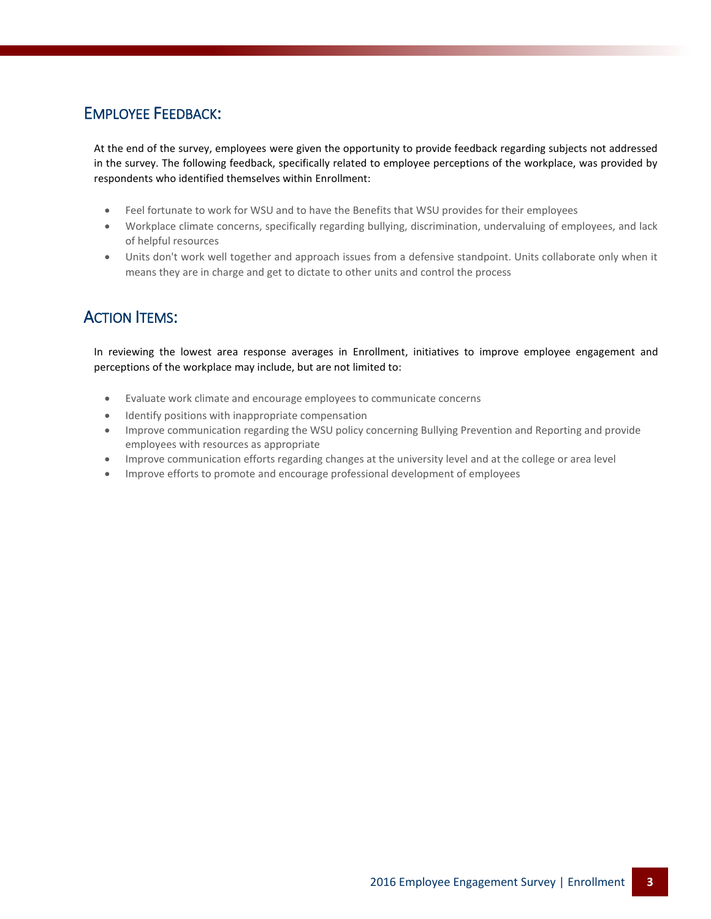## EMPLOYEE FEEDBACK:

At the end of the survey, employees were given the opportunity to provide feedback regarding subjects not addressed in the survey. The following feedback, specifically related to employee perceptions of the workplace, was provided by respondents who identified themselves within Enrollment:

- Feel fortunate to work for WSU and to have the Benefits that WSU provides for their employees
- Workplace climate concerns, specifically regarding bullying, discrimination, undervaluing of employees, and lack of helpful resources
- Units don't work well together and approach issues from a defensive standpoint. Units collaborate only when it means they are in charge and get to dictate to other units and control the process

## ACTION ITEMS:

In reviewing the lowest area response averages in Enrollment, initiatives to improve employee engagement and perceptions of the workplace may include, but are not limited to:

- Evaluate work climate and encourage employees to communicate concerns
- $\bullet$  Identify positions with inappropriate compensation
- Improve communication regarding the WSU policy concerning Bullying Prevention and Reporting and provide employees with resources as appropriate
- Improve communication efforts regarding changes at the university level and at the college or area level
- Improve efforts to promote and encourage professional development of employees